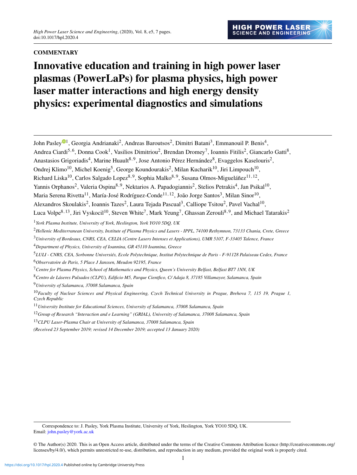# **COMMENTARY**

# Innovative education and training in high power laser plasmas (PowerLaPs) for plasma physics, high power laser matter interactions and high energy density physics: experimental diagnostics and simulations

| John Pasley <sup>®1</sup> , Georgia Andrianaki <sup>2</sup> , Andreas Baroutsos <sup>2</sup> , Dimitri Batani <sup>3</sup> , Emmanouil P. Benis <sup>4</sup> ,                         |
|----------------------------------------------------------------------------------------------------------------------------------------------------------------------------------------|
| Andrea Ciardi <sup>5,6</sup> , Donna Cook <sup>1</sup> , Vasilios Dimitriou <sup>2</sup> , Brendan Dromey <sup>7</sup> , Ioannis Fitilis <sup>2</sup> , Giancarlo Gatti <sup>8</sup> , |
| Anastasios Grigoriadis <sup>4</sup> , Marine Huault <sup>8, 9</sup> , Jose Antonio Pérez Hernández <sup>8</sup> , Evaggelos Kaselouris <sup>2</sup> ,                                  |
| Ondrej Klimo <sup>10</sup> , Michel Koenig <sup>5</sup> , George Koundourakis <sup>2</sup> , Milan Kucharik <sup>10</sup> , Jiri Limpouch <sup>10</sup> ,                              |
| Richard Liska <sup>10</sup> , Carlos Salgado Lopez <sup>8, 9</sup> , Sophia Malko <sup>8, 9</sup> , Susana Olmos-Migueláñez <sup>11, 12</sup> ,                                        |
| Yannis Orphanos <sup>2</sup> , Valeria Ospina <sup>8, 9</sup> , Nektarios A. Papadogiannis <sup>2</sup> , Stelios Petrakis <sup>4</sup> , Jan Psikal <sup>10</sup> ,                   |
| Maria Serena Rivetta <sup>11</sup> , María-José Rodríguez-Conde <sup>11, 12</sup> , João Jorge Santos <sup>3</sup> , Milan Sinor <sup>10</sup> ,                                       |
| Alexandros Skoulakis <sup>2</sup> , Ioannis Tazes <sup>2</sup> , Laura Tejada Pascual <sup>3</sup> , Calliope Tsitou <sup>2</sup> , Pavel Vachal <sup>10</sup> ,                       |
| Luca Volpe <sup>8, 13</sup> , Jiri Vyskocil <sup>10</sup> , Steven White <sup>7</sup> , Mark Yeung <sup>7</sup> , Ghassan Zerouli <sup>8, 9</sup> , and Michael Tatarakis <sup>2</sup> |
| <sup>1</sup> York Plasma Institute, University of York, Heslington, York YO10 5DQ, UK                                                                                                  |
| <sup>2</sup> Hellenic Mediterranean University, Institute of Plasma Physics and Lasers - IPPL, 74100 Rethymnon, 73133 Chania, Crete, Greece                                            |
| <sup>3</sup> University of Bordeaux, CNRS, CEA, CELIA (Centre Lasers Intenses et Applications), UMR 5107, F-33405 Talence, France                                                      |
| <sup>4</sup> Department of Physics, University of Ioannina, GR 45110 Ioannina, Greece                                                                                                  |
| <sup>5</sup> LULI - CNRS, CEA, Sorbonne Universiés, Ecole Polytechnique, Institut Polytechnique de Paris - F-91128 Palaiseau Cedex, France                                             |
| <sup>6</sup> Observatoire de Paris, 5 Place J Janssen, Meudon 92195, France                                                                                                            |
| <sup>7</sup> Centre for Plasma Physics, School of Mathematics and Physics, Queen's University Belfast, Belfast BT7 1NN, UK                                                             |
| <sup>8</sup> Centro de Láseres Pulsados (CLPU), Edificio M5, Parque Cientfico, C/ Adaja 8, 37185 Villamayor, Salamanca, Spain                                                          |
| <sup>9</sup> University of Salamanca, 37008 Salamanca, Spain                                                                                                                           |
| <sup>10</sup> Faculty of Nuclear Sciences and Physical Engineering, Czech Technical University in Prague, Brehova 7, 115 19, Prague 1,<br>Czech Republic                               |
| <sup>11</sup> University Institute for Educational Sciences, University of Salamanca, 37008 Salamanca, Spain                                                                           |
| $^{12}$ Group of Research "Interaction and e Learning" (GRIAL), University of Salamanca, 37008 Salamanca, Spain                                                                        |
| <sup>13</sup> CLPU Laser-Plasma Chair at University of Salamanca, 37008 Salamanca, Spain                                                                                               |

*(Received 23 September 2019; revised 14 December 2019; accepted 13 January 2020)*

Correspondence to: J. Pasley, York Plasma Institute, University of York, Heslington, York YO10 5DQ, UK. Email: [john.pasley@york.ac.uk](mailto:john.pasley@york.ac.uk)

© The Author(s) 2020. This is an Open Access article, distributed under the terms of the Creative Commons Attribution licence [\(http://creativecommons.org/](http://creativecommons.org/licenses/by/4.0/) [licenses/by/4.0/\)](http://creativecommons.org/licenses/by/4.0/), which permits unrestricted re-use, distribution, and reproduction in any medium, provided the original work is properly cited.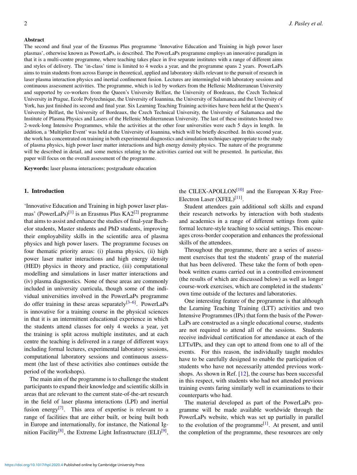#### Abstract

The second and final year of the Erasmus Plus programme 'Innovative Education and Training in high power laser plasmas', otherwise known as PowerLaPs, is described. The PowerLaPs programme employs an innovative paradigm in that it is a multi-centre programme, where teaching takes place in five separate institutes with a range of different aims and styles of delivery. The 'in-class' time is limited to 4 weeks a year, and the programme spans 2 years. PowerLaPs aims to train students from across Europe in theoretical, applied and laboratory skills relevant to the pursuit of research in laser plasma interaction physics and inertial confinement fusion. Lectures are intermingled with laboratory sessions and continuous assessment activities. The programme, which is led by workers from the Hellenic Mediterranean University and supported by co-workers from the Queen's University Belfast, the University of Bordeaux, the Czech Technical University in Prague, Ecole Polytechnique, the University of Ioannina, the University of Salamanca and the University of York, has just finished its second and final year. Six Learning Teaching Training activities have been held at the Queen's University Belfast, the University of Bordeaux, the Czech Technical University, the University of Salamanca and the Institute of Plasma Physics and Lasers of the Hellenic Mediterranean University. The last of these institutes hosted two 2-week-long Intensive Programmes, while the activities at the other four universities were each 5 days in length. In addition, a 'Multiplier Event' was held at the University of Ioannina, which will be briefly described. In this second year, the work has concentrated on training in both experimental diagnostics and simulation techniques appropriate to the study of plasma physics, high power laser matter interactions and high energy density physics. The nature of the programme will be described in detail, and some metrics relating to the activities carried out will be presented. In particular, this paper will focus on the overall assessment of the programme.

Keywords: laser plasma interactions; postgraduate education

#### 1. Introduction

'Innovative Education and Training in high power laser plas-mas' (PowerLaPs)<sup>[\[1\]](#page-6-0)</sup> is an Erasmus Plus KA2<sup>[\[2\]](#page-6-1)</sup> programme that aims to assist and enhance the studies of final-year Bachelor students, Master students and PhD students, improving their employability skills in the scientific area of plasma physics and high power lasers. The programme focuses on four thematic priority areas: (i) plasma physics, (ii) high power laser matter interactions and high energy density (HED) physics in theory and practice, (iii) computational modelling and simulations in laser matter interactions and (iv) plasma diagnostics. None of these areas are commonly included in university curricula, though some of the individual universities involved in the PowerLaPs programme do offer training in these areas separately<sup>[\[3](#page-6-2)[–6\]](#page-6-3)</sup>. PowerLaPs is innovative for a training course in the physical sciences in that it is an intermittent educational experience in which the students attend classes for only 4 weeks a year, yet the training is split across multiple institutes, and at each centre the teaching is delivered in a range of different ways including formal lectures, experimental laboratory sessions, computational laboratory sessions and continuous assessment (the last of these activities also continues outside the period of the workshops).

The main aim of the programme is to challenge the student participants to expand their knowledge and scientific skills in areas that are relevant to the current state-of-the-art research in the field of laser plasma interactions (LPI) and inertial fusion energy<sup>[\[7\]](#page-6-4)</sup>. This area of expertise is relevant to a range of facilities that are either built, or being built both in Europe and internationally, for instance, the National Ig-nition Facility<sup>[\[8\]](#page-6-5)</sup>, the Extreme Light Infrastructure (ELI)<sup>[\[9\]](#page-6-6)</sup>,

the CILEX-APOLLON<sup>[\[10\]](#page-6-7)</sup> and the European X-Ray Free-Electron Laser (XFEL)<sup>[\[11\]](#page-6-8)</sup>.

Student attendees gain additional soft skills and expand their research networks by interaction with both students and academics in a range of different settings from quite formal lecture-style teaching to social settings. This encourages cross-border cooperation and enhances the professional skills of the attendees.

Throughout the programme, there are a series of assessment exercises that test the students' grasp of the material that has been delivered. These take the form of both openbook written exams carried out in a controlled environment (the results of which are discussed below) as well as longer course-work exercises, which are completed in the students' own time outside of the lectures and laboratories.

One interesting feature of the programme is that although the Learning Teaching Training (LTT) activities and two Intensive Programmes (IPs) that form the basis of the Power-LaPs are constructed as a single educational course, students are not required to attend all of the sessions. Students receive individual certification for attendance at each of the LTTs/IPs, and they can opt to attend from one to all of the events. For this reason, the individually taught modules have to be carefully designed to enable the participation of students who have not necessarily attended previous workshops. As shown in Ref. [\[12\]](#page-6-9), the course has been successful in this respect, with students who had not attended previous training events faring similarly well in examinations to their counterparts who had.

The material developed as part of the PowerLaPs programme will be made available worldwide through the PowerLaPs website, which was set up partially in parallel to the evolution of the programme<sup>[\[1\]](#page-6-0)</sup>. At present, and until the completion of the programme, these resources are only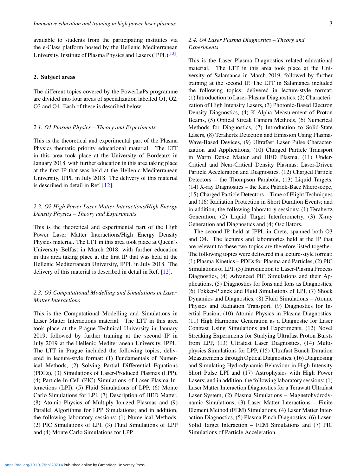available to students from the participating institutes via the e-Class platform hosted by the Hellenic Mediterranean University, Institute of Plasma Physics and Lasers (IPPL)<sup>[\[13\]](#page-6-10)</sup>.

#### 2. Subject areas

The different topics covered by the PowerLaPs programme are divided into four areas of specialization labelled O1, O2, O3 and O4. Each of these is described below.

#### *2.1. O1 Plasma Physics – Theory and Experiments*

This is the theoretical and experimental part of the Plasma Physics thematic priority educational material. The LTT in this area took place at the University of Bordeaux in January 2018, with further education in this area taking place at the first IP that was held at the Hellenic Mediterranean University, IPPL in July 2018. The delivery of this material is described in detail in Ref. [\[12\]](#page-6-9).

# *2.2. O2 High Power Laser Matter Interactions/High Energy Density Physics – Theory and Experiments*

This is the theoretical and experimental part of the High Power Laser Matter Interactions/High Energy Density Physics material. The LTT in this area took place at Queen's University Belfast in March 2018, with further education in this area taking place at the first IP that was held at the Hellenic Mediterranean University, IPPL in July 2018. The delivery of this material is described in detail in Ref. [\[12\]](#page-6-9).

# *2.3. O3 Computational Modelling and Simulations in Laser Matter Interactions*

This is the Computational Modelling and Simulations in Laser Matter Interactions material. The LTT in this area took place at the Prague Technical University in January 2019, followed by further training at the second IP in July 2019 at the Hellenic Mediterranean University, IPPL. The LTT in Prague included the following topics, delivered in lecture-style format: (1) Fundamentals of Numerical Methods, (2) Solving Partial Differential Equations (PDEs), (3) Simulations of Laser-Produced Plasmas (LPP), (4) Particle-In-Cell (PIC) Simulations of Laser Plasma Interactions (LPI), (5) Fluid Simulations of LPP, (6) Monte Carlo Simulations for LPI, (7) Description of HED Matter, (8) Atomic Physics of Multiply Ionized Plasmas and (9) Parallel Algorithms for LPP Simulations; and in addition, the following laboratory sessions: (1) Numerical Methods, (2) PIC Simulations of LPI, (3) Fluid Simulations of LPP and (4) Monte Carlo Simulations for LPP.

# *2.4. O4 Laser Plasma Diagnostics – Theory and Experiments*

This is the Laser Plasma Diagnostics related educational material. The LTT in this area took place at the University of Salamanca in March 2019, followed by further training at the second IP. The LTT in Salamanca included the following topics, delivered in lecture-style format: (1) Introduction to Laser-Plasma Diagnostics, (2) Characterization of High Intensity Lasers, (3) Photonic-Based Electron Density Diagnostics, (4) K-Alpha Measurement of Proton Beams, (5) Optical Streak Camera Methods, (6) Numerical Methods for Diagnostics, (7) Introduction to Solid-State Lasers, (8) Terahertz Detection and Emission Using Plasma-Wave-Based Devices, (9) Ultrafast Laser Pulse Characterization and Applications, (10) Charged Particle Transport in Warm Dense Matter and HED Plasma, (11) Under-Critical and Near-Critical Density Plasmas: Laser-Driven Particle Acceleration and Diagnostics, (12) Charged Particle Detectors – the Thompson Parabola, (13) Liquid Targets, (14) X-ray Diagnostics – the Kirk Patrick-Baez Microscope, (15) Charged Particle Detectors – Time of Flight Techniques and (16) Radiation Protection in Short Duration Events; and in addition, the following laboratory sessions: (1) Terahertz Generation, (2) Liquid Target Interferometry, (3) X-ray Generation and Diagnostics and (4) Oscillators.

The second IP, held at IPPL in Crete, spanned both O3 and O4. The lectures and laboratories held at the IP that are relevant to these two topics are therefore listed together. The following topics were delivered in a lecture-style format: (1) Plasma Kinetics – PDEs for Plasma and Particles, (2) PIC Simulations of LPI, (3) Introduction to Laser-Plasma Process Diagnostics, (4) Advanced PIC Simulations and their Applications, (5) Diagnostics for Ions and Ions as Diagnostics, (6) Fokker-Planck and Fluid Simulations of LPI, (7) Shock Dynamics and Diagnostics, (8) Fluid Simulations – Atomic Physics and Radiation Transport, (9) Diagnostics for Inertial Fusion, (10) Atomic Physics in Plasma Diagnostics, (11) High Harmonic Generation as a Diagnostic for Laser Contrast Using Simulations and Experiments, (12) Novel Streaking Experiments for Studying Ultrafast Proton Bursts from LPP, (13) Ultrafast Laser Diagnostics, (14) Multiphysics Simulations for LPP, (15) Ultrafast Bunch Duration Measurements through Optical Diagnostics, (16) Diagnosing and Simulating Hydrodynamic Behaviour in High Intensity Short Pulse LPI and (17) Astrophysics with High Power Lasers; and in addition, the following laboratory sessions: (1) Laser Matter Interaction Diagnostics for a Terawatt Ultrafast Laser System, (2) Plasma Simulations – Magnetohydrodynamic Simulations, (3) Laser Matter Interactions – Finite Element Method (FEM) Simulations, (4) Laser Matter Interaction Diagnostics, (5) Plasma Pinch Diagnostics, (6) Laser-Solid Target Interaction – FEM Simulations and (7) PIC Simulations of Particle Acceleration.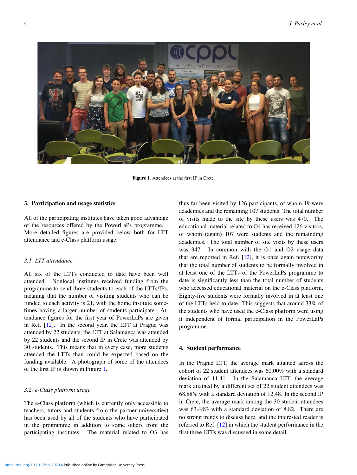<span id="page-3-0"></span>

Figure 1. Attendees at the first IP in Crete.

### 3. Participation and usage statistics

All of the participating institutes have taken good advantage of the resources offered by the PowerLaPs programme. More detailed figures are provided below both for LTT attendance and e-Class platform usage.

# *3.1. LTT attendance*

All six of the LTTs conducted to date have been well attended. Nonlocal institutes received funding from the programme to send three students to each of the LTTs/IPs, meaning that the number of visiting students who can be funded to each activity is 21, with the home institute sometimes having a larger number of students participate. Attendance figures for the first year of PowerLaPs are given in Ref. [\[12\]](#page-6-9). In the second year, the LTT at Prague was attended by 22 students, the LTT at Salamanca was attended by 22 students and the second IP in Crete was attended by 30 students. This means that in every case, more students attended the LTTs than could be expected based on the funding available. A photograph of some of the attendees of the first IP is shown in Figure [1.](#page-3-0)

## *3.2. e-Class platform usage*

The e-Class platform (which is currently only accessible to teachers, tutors and students from the partner universities) has been used by all of the students who have participated in the programme in addition to some others from the participating institutes. The material related to O3 has thus far been visited by 126 participants, of whom 19 were academics and the remaining 107 students. The total number of visits made to the site by these users was 470. The educational material related to O4 has received 126 visitors, of whom (again) 107 were students and the remainding academics. The total number of site visits by these users was 347. In common with the O1 and O2 usage data that are reported in Ref.  $[12]$ , it is once again noteworthy that the total number of students to be formally involved in at least one of the LTTs of the PowerLaPs programme to date is significantly less than the total number of students who accessed educational material on the e-Class platform. Eighty-five students were formally involved in at least one of the LTTs held to date. This suggests that around 33% of the students who have used the e-Class platform were using it independent of formal participation in the PowerLaPs programme.

#### 4. Student performance

In the Prague LTT, the average mark attained across the cohort of 22 student attendees was 60.00% with a standard deviation of 11.41. In the Salamanca LTT, the average mark attained by a different set of 22 student attendees was 68.88% with a standard deviation of 12.48. In the second IP in Crete, the average mark among the 30 student attendees was 63.48% with a standard deviation of 8.82. There are no strong trends to discuss here, and the interested reader is referred to Ref. [\[12\]](#page-6-9) in which the student performance in the first three LTTs was discussed in some detail.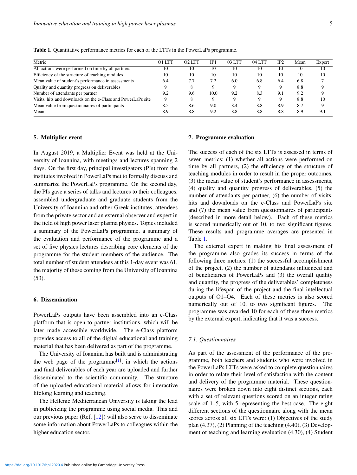| Metric                                                       | O1 LTT | $O2$ LTT | IP.  | 03 LTT | 04 LTT | IP <sub>2</sub> | Mean | Expert |
|--------------------------------------------------------------|--------|----------|------|--------|--------|-----------------|------|--------|
| All actions were performed on time by all partners           | 10     | 10       | 10   | 10     | 10     | 10              | 10   | 10     |
| Efficiency of the structure of teaching modules              | 10     | 10       | 10   | 10     | 10     | 10              | 10   | 10     |
| Mean value of student's performance in assessments           | 6.4    | 7.7      | 7.2  | 6.0    | 6.8    | 6.4             | 6.8  |        |
| Quality and quantity progress on deliverables                |        |          |      | Q      | Q      |                 | 8.8  |        |
| Number of attendants per partner                             | 9.2    | 9.6      | 10.0 | 9.2    | 8.3    | 9.1             | 9.2  |        |
| Visits, hits and downloads on the e-Class and PowerLaPs site |        |          |      | 9      |        |                 | 8.8  | 10     |
| Mean value from question aires of participants               | 8.5    | 8.6      | 9.0  | 8.4    | 8.8    | 8.9             | 8.7  |        |
| Mean                                                         | 8.9    | 8.8      | 9.2  | 8.8    | 8.8    | 8.8             | 8.9  | 9.1    |

<span id="page-4-0"></span>Table 1. Quantitative performance metrics for each of the LTTs in the PowerLaPs programme.

#### 5. Multiplier event

In August 2019, a Multiplier Event was held at the University of Ioannina, with meetings and lectures spanning 2 days. On the first day, principal investigators (PIs) from the institutes involved in PowerLaPs met to formally discuss and summarize the PowerLaPs programme. On the second day, the PIs gave a series of talks and lectures to their colleagues, assembled undergraduate and graduate students from the University of Ioannina and other Greek institutes, attendees from the private sector and an external observer and expert in the field of high power laser plasma physics. Topics included a summary of the PowerLaPs programme, a summary of the evaluation and performance of the programme and a set of five physics lectures describing core elements of the programme for the student members of the audience. The total number of student attendees at this 1-day event was 61, the majority of these coming from the University of Ioannina (53).

## 6. Dissemination

PowerLaPs outputs have been assembled into an e-Class platform that is open to partner institutions, which will be later made accessible worldwide. The e-Class platform provides access to all of the digital educational and training material that has been delivered as part of the programme.

The University of Ioannina has built and is administrating the web page of the programme<sup>[\[1\]](#page-6-0)</sup>, in which the actions and final deliverables of each year are uploaded and further disseminated to the scientific community. The structure of the uploaded educational material allows for interactive lifelong learning and teaching.

The Hellenic Mediterranean University is taking the lead in publicizing the programme using social media. This and our previous paper (Ref. [\[12\]](#page-6-9)) will also serve to disseminate some information about PowerLaPs to colleagues within the higher education sector.

#### 7. Programme evaluation

The success of each of the six LTTs is assessed in terms of seven metrics: (1) whether all actions were performed on time by all partners, (2) the efficiency of the structure of teaching modules in order to result in the proper outcomes, (3) the mean value of student's performance in assessments, (4) quality and quantity progress of deliverables, (5) the number of attendants per partner, (6) the number of visits, hits and downloads on the e-Class and PowerLaPs site and (7) the mean value from questionnaires of participants (described in more detail below). Each of these metrics is scored numerically out of 10, to two significant figures. These results and programme averages are presented in Table [1.](#page-4-0)

The external expert in making his final assessment of the programme also grades its success in terms of the following three metrics: (1) the successful accomplishment of the project, (2) the number of attendants influenced and of beneficiaries of PowerLaPs and (3) the overall quality and quantity, the progress of the deliverables' completeness during the lifespan of the project and the final intellectual outputs of O1–O4. Each of these metrics is also scored numerically out of 10, to two significant figures. The programme was awarded 10 for each of these three metrics by the external expert, indicating that it was a success.

## *7.1. Questionnaires*

As part of the assessment of the performance of the programme, both teachers and students who were involved in the PowerLaPs LTTs were asked to complete questionnaires in order to relate their level of satisfaction with the content and delivery of the programme material. These questionnaires were broken down into eight distinct sections, each with a set of relevant questions scored on an integer rating scale of 1–5, with 5 representing the best case. The eight different sections of the questionnaire along with the mean scores across all six LTTs were: (1) Objectives of the study plan (4.37), (2) Planning of the teaching (4.40), (3) Development of teaching and learning evaluation (4.30), (4) Student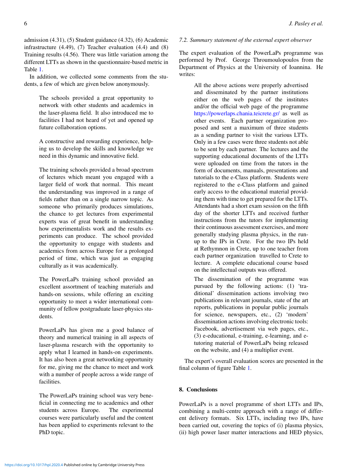admission (4.31), (5) Student guidance (4.32), (6) Academic infrastructure (4.49), (7) Teacher evaluation (4.4) and (8) Training results (4.56). There was little variation among the different LTTs as shown in the questionnaire-based metric in Table [1.](#page-4-0)

In addition, we collected some comments from the students, a few of which are given below anonymously.

> The schools provided a great opportunity to network with other students and academics in the laser-plasma field. It also introduced me to facilities I had not heard of yet and opened up future collaboration options.

> A constructive and rewarding experience, helping us to develop the skills and knowledge we need in this dynamic and innovative field.

The training schools provided a broad spectrum of lectures which meant you engaged with a larger field of work that normal. This meant the understanding was improved in a range of fields rather than on a single narrow topic. As someone who primarily produces simulations, the chance to get lectures from experimental experts was of great benefit in understanding how experimentalists work and the results experiments can produce. The school provided the opportunity to engage with students and academics from across Europe for a prolonged period of time, which was just as engaging culturally as it was academically.

The PowerLaPs training school provided an excellent assortment of teaching materials and hands-on sessions, while offering an exciting opportunity to meet a wider international community of fellow postgraduate laser-physics students.

PowerLaPs has given me a good balance of theory and numerical training in all aspects of laser-plasma research with the opportunity to apply what I learned in hands-on experiments. It has also been a great networking opportunity for me, giving me the chance to meet and work with a number of people across a wide range of facilities.

The PowerLaPs training school was very beneficial in connecting me to academics and other students across Europe. The experimental courses were particularly useful and the content has been applied to experiments relevant to the PhD topic.

# *7.2. Summary statement of the external expert observer*

The expert evaluation of the PowerLaPs programme was performed by Prof. George Throumoulopoulos from the Department of Physics at the University of Ioannina. He writes:

> All the above actions were properly advertised and disseminated by the partner institutions either on the web pages of the institutes and/or the official web page of the programme <https://powerlaps.chania.teicrete.gr/> as well as other events. Each partner organization proposed and sent a maximum of three students as a sending partner to visit the various LTTs. Only in a few cases were three students not able to be sent by each partner. The lectures and the supporting educational documents of the LTTs were uploaded on time from the tutors in the form of documents, manuals, presentations and tutorials to the e-Class platform. Students were registered to the e-Class platform and gained early access to the educational material providing them with time to get prepared for the LTTs. Attendants had a short exam session on the fifth day of the shorter LTTs and received further instructions from the tutors for implementing their continuous assessment exercises, and more generally studying plasma physics, in the runup to the IPs in Crete. For the two IPs held at Rethymnon in Crete, up to one teacher from each partner organization travelled to Crete to lecture. A complete educational course based on the intellectual outputs was offered.

> The dissemination of the programme was pursued by the following actions: (1) 'traditional' dissemination actions involving two publications in relevant journals, state of the art reports, publications in popular public journals for science, newspapers, etc., (2) 'modern' dissemination actions involving electronic tools: Facebook, advertisement via web pages, etc., (3) e-educational, e-training, e-learning, and etutoring material of PowerLaPs being released on the website, and (4) a multiplier event.

The expert's overall evaluation scores are presented in the final column of figure Table [1.](#page-4-0)

# 8. Conclusions

PowerLaPs is a novel programme of short LTTs and IPs, combining a multi-centre approach with a range of different delivery formats. Six LTTs, including two IPs, have been carried out, covering the topics of (i) plasma physics, (ii) high power laser matter interactions and HED physics,